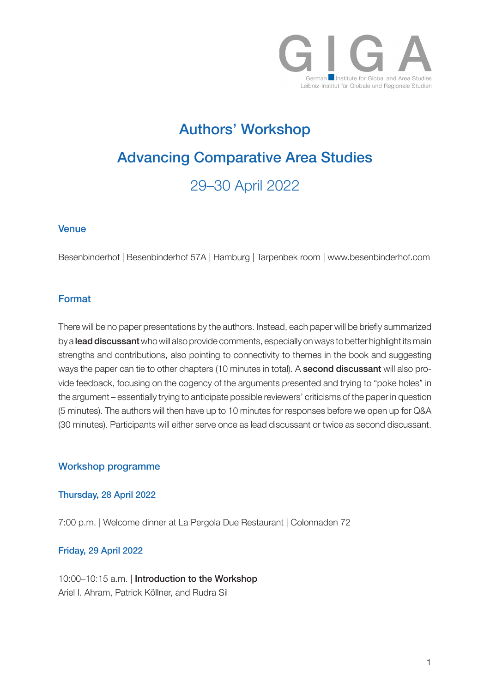

# Authors' Workshop Advancing Comparative Area Studies 29–30 April 2022

## **Venue**

Besenbinderhof | Besenbinderhof 57A | Hamburg | Tarpenbek room | www.besenbinderhof.com

## Format

There will be no paper presentations by the authors. Instead, each paper will be briefly summarized by a lead discussant who will also provide comments, especially on ways to better highlight its main strengths and contributions, also pointing to connectivity to themes in the book and suggesting ways the paper can tie to other chapters (10 minutes in total). A **second discussant** will also provide feedback, focusing on the cogency of the arguments presented and trying to "poke holes" in the argument – essentially trying to anticipate possible reviewers' criticisms of the paper in question (5 minutes). The authors will then have up to 10 minutes for responses before we open up for Q&A (30 minutes). Participants will either serve once as lead discussant or twice as second discussant.

## Workshop programme

## Thursday, 28 April 2022

7:00 p.m. | Welcome dinner at La Pergola Due Restaurant | Colonnaden 72

## Friday, 29 April 2022

10:00–10:15 a.m. | Introduction to the Workshop Ariel I. Ahram, Patrick Köllner, and Rudra Sil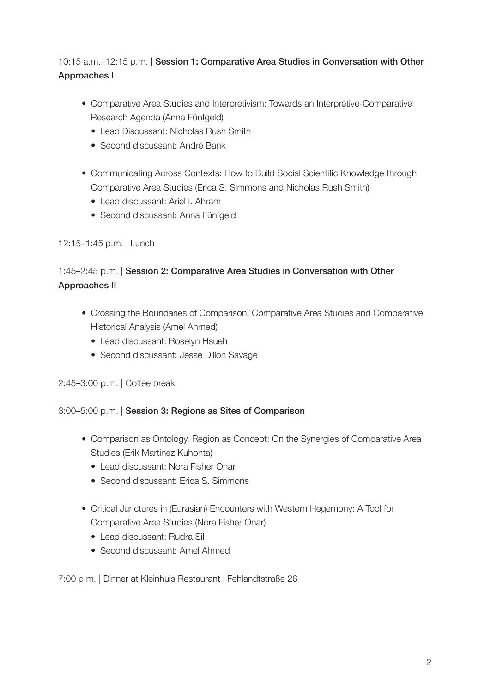## 10:15 a.m.–12:15 p.m. | Session 1: Comparative Area Studies in Conversation with Other Approaches I

- Comparative Area Studies and Interpretivism: Towards an Interpretive-Comparative Research Agenda (Anna Fünfgeld)
	- Lead Discussant: Nicholas Rush Smith
	- Second discussant: André Bank
- Communicating Across Contexts: How to Build Social Scientific Knowledge through Comparative Area Studies (Erica S. Simmons and Nicholas Rush Smith)
	- Lead discussant: Ariel I. Ahram
	- Second discussant: Anna Fünfgeld

## 12:15–1:45 p.m. | Lunch

# 1:45–2:45 p.m. | Session 2: Comparative Area Studies in Conversation with Other Approaches II

- Crossing the Boundaries of Comparison: Comparative Area Studies and Comparative Historical Analysis (Amel Ahmed)
	- Lead discussant: Roselyn Hsueh
	- Second discussant: Jesse Dillon Savage

2:45–3:00 p.m. | Coffee break

## 3:00–5:00 p.m. | Session 3: Regions as Sites of Comparison

- Comparison as Ontology, Region as Concept: On the Synergies of Comparative Area Studies (Erik Martinez Kuhonta)
	- Lead discussant: Nora Fisher Onar
	- Second discussant: Frica S. Simmons
- Critical Junctures in (Eurasian) Encounters with Western Hegemony: A Tool for Comparative Area Studies (Nora Fisher Onar)
	- Lead discussant: Rudra Sil
	- Second discussant: Amel Ahmed

7:00 p.m. | Dinner at Kleinhuis Restaurant | Fehlandtstraße 26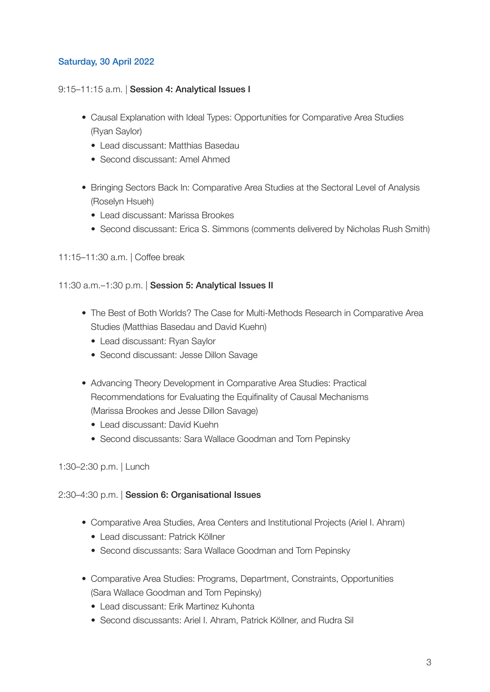## Saturday, 30 April 2022

#### 9:15–11:15 a.m. | Session 4: Analytical Issues I

- Causal Explanation with Ideal Types: Opportunities for Comparative Area Studies (Ryan Saylor)
	- Lead discussant: Matthias Basedau
	- Second discussant: Amel Ahmed
- Bringing Sectors Back In: Comparative Area Studies at the Sectoral Level of Analysis (Roselyn Hsueh)
	- Lead discussant: Marissa Brookes
	- Second discussant: Erica S. Simmons (comments delivered by Nicholas Rush Smith)
- 11:15–11:30 a.m. | Coffee break

#### 11:30 a.m.-1:30 p.m. | Session 5: Analytical Issues II

- The Best of Both Worlds? The Case for Multi-Methods Research in Comparative Area Studies (Matthias Basedau and David Kuehn)
	- Lead discussant: Ryan Saylor
	- Second discussant: Jesse Dillon Savage
- Advancing Theory Development in Comparative Area Studies: Practical Recommendations for Evaluating the Equifinality of Causal Mechanisms (Marissa Brookes and Jesse Dillon Savage)
	- Lead discussant: David Kuehn
	- Second discussants: Sara Wallace Goodman and Tom Pepinsky

## 1:30–2:30 p.m. | Lunch

#### 2:30–4:30 p.m. | Session 6: Organisational Issues

- Comparative Area Studies, Area Centers and Institutional Projects (Ariel I. Ahram)
	- Lead discussant: Patrick Köllner
	- Second discussants: Sara Wallace Goodman and Tom Pepinsky
- Comparative Area Studies: Programs, Department, Constraints, Opportunities (Sara Wallace Goodman and Tom Pepinsky)
	- Lead discussant: Erik Martinez Kuhonta
	- Second discussants: Ariel I. Ahram, Patrick Köllner, and Rudra Sil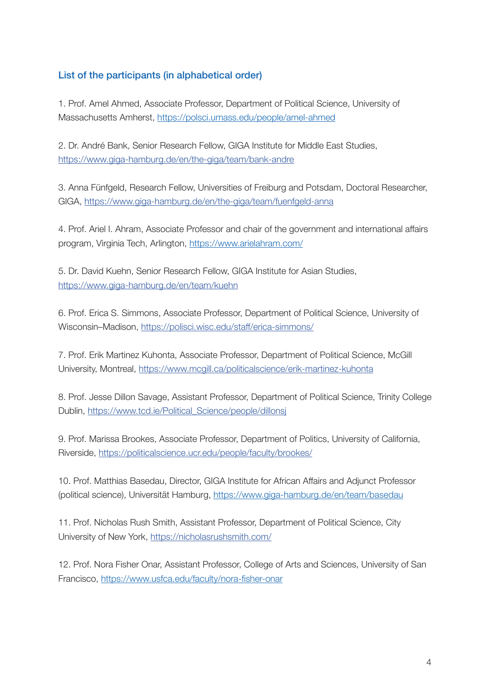## List of the participants (in alphabetical order)

1. Prof. Amel Ahmed, Associate Professor, Department of Political Science, University of Massachusetts Amherst, https://polsci.umass.edu/people/amel-ahmed

2. Dr. André Bank, Senior Research Fellow, GIGA Institute for Middle East Studies, https://www.giga-hamburg.de/en/the-giga/team/bank-andre

3. Anna Fünfgeld, Research Fellow, Universities of Freiburg and Potsdam, Doctoral Researcher, GIGA, https://www.giga-hamburg.de/en/the-giga/team/fuenfgeld-anna

4. Prof. Ariel I. Ahram, Associate Professor and chair of the government and international affairs program, Virginia Tech, Arlington, https://www.arielahram.com/

5. Dr. David Kuehn, Senior Research Fellow, GIGA Institute for Asian Studies, https://www.giga-hamburg.de/en/team/kuehn

6. Prof. Erica S. Simmons, Associate Professor, Department of Political Science, University of Wisconsin–Madison, https://polisci.wisc.edu/staff/erica-simmons/

7. Prof. Erik Martinez Kuhonta, Associate Professor, Department of Political Science, McGill University, Montreal, https://www.mcgill.ca/politicalscience/erik-martinez-kuhonta

8. Prof. Jesse Dillon Savage, Assistant Professor, Department of Political Science, Trinity College Dublin, https://www.tcd.ie/Political\_Science/people/dillonsj

9. Prof. Marissa Brookes, Associate Professor, Department of Politics, University of California, Riverside, https://politicalscience.ucr.edu/people/faculty/brookes/

10. Prof. Matthias Basedau, Director, GIGA Institute for African Affairs and Adjunct Professor (political science), Universität Hamburg, https://www.giga-hamburg.de/en/team/basedau

11. Prof. Nicholas Rush Smith, Assistant Professor, Department of Political Science, City University of New York, https://nicholasrushsmith.com/

12. Prof. Nora Fisher Onar, Assistant Professor, College of Arts and Sciences, University of San Francisco, https://www.usfca.edu/faculty/nora-fisher-onar